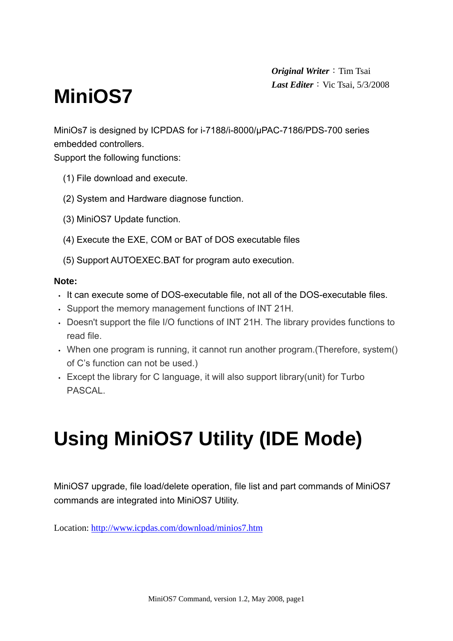*Original Writer*: Tim Tsai **Last Editer**: Vic Tsai, 5/3/2008

# **MiniOS7**

MiniOs7 is designed by ICPDAS for i-7188/i-8000/μPAC-7186/PDS-700 series embedded controllers.

Support the following functions:

- (1) File download and execute.
- (2) System and Hardware diagnose function.
- (3) MiniOS7 Update function.
- (4) Execute the EXE, COM or BAT of DOS executable files
- (5) Support AUTOEXEC.BAT for program auto execution.

#### **Note:**

- It can execute some of DOS-executable file, not all of the DOS-executable files.
- Support the memory management functions of INT 21H.
- Doesn't support the file I/O functions of INT 21H. The library provides functions to read file.
- When one program is running, it cannot run another program.(Therefore, system() of C's function can not be used.)
- Except the library for C language, it will also support library(unit) for Turbo **PASCAL**

# **Using MiniOS7 Utility (IDE Mode)**

MiniOS7 upgrade, file load/delete operation, file list and part commands of MiniOS7 commands are integrated into MiniOS7 Utility.

Location: http://www.icpdas.com/download/minios7.htm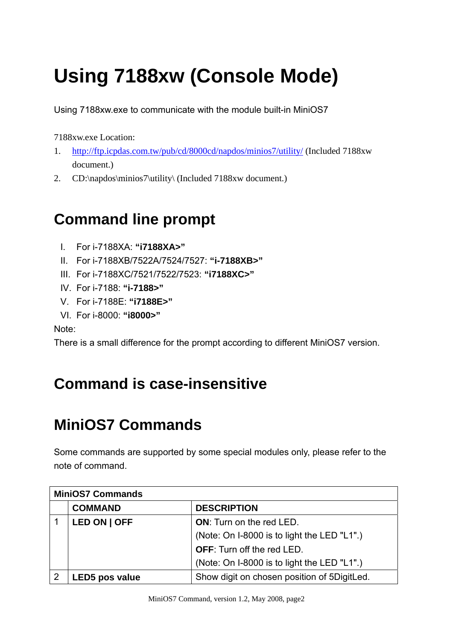# **Using 7188xw (Console Mode)**

Using 7188xw.exe to communicate with the module built-in MiniOS7

7188xw.exe Location:

- 1. http://ftp.icpdas.com.tw/pub/cd/8000cd/napdos/minios7/utility/ (Included 7188xw document.)
- 2. CD:\napdos\minios7\utility\ (Included 7188xw document.)

# **Command line prompt**

- I. For i-7188XA: **"i7188XA>"**
- II. For i-7188XB/7522A/7524/7527: **"i-7188XB>"**
- III. For i-7188XC/7521/7522/7523: **"i7188XC>"**
- IV. For i-7188: **"i-7188>"**
- V. For i-7188E: **"i7188E>"**
- VI. For i-8000: **"i8000>"**

Note:

There is a small difference for the prompt according to different MiniOS7 version.

## **Command is case-insensitive**

## **MiniOS7 Commands**

Some commands are supported by some special modules only, please refer to the note of command.

| <b>MiniOS7 Commands</b> |                |                                             |
|-------------------------|----------------|---------------------------------------------|
|                         | <b>COMMAND</b> | <b>DESCRIPTION</b>                          |
|                         | LED ON   OFF   | <b>ON:</b> Turn on the red LED.             |
|                         |                | (Note: On I-8000 is to light the LED "L1".) |
|                         |                | <b>OFF:</b> Turn off the red LED.           |
|                         |                | (Note: On I-8000 is to light the LED "L1".) |
|                         | LED5 pos value | Show digit on chosen position of 5DigitLed. |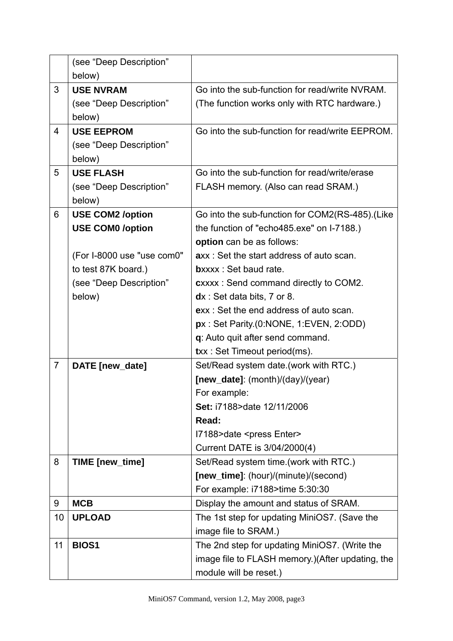|                | (see "Deep Description"    |                                                   |  |
|----------------|----------------------------|---------------------------------------------------|--|
|                | below)                     |                                                   |  |
| 3              | <b>USE NVRAM</b>           | Go into the sub-function for read/write NVRAM.    |  |
|                | (see "Deep Description"    | (The function works only with RTC hardware.)      |  |
|                | below)                     |                                                   |  |
| $\overline{4}$ | <b>USE EEPROM</b>          | Go into the sub-function for read/write EEPROM.   |  |
|                | (see "Deep Description"    |                                                   |  |
|                | below)                     |                                                   |  |
| 5              | <b>USE FLASH</b>           | Go into the sub-function for read/write/erase     |  |
|                | (see "Deep Description"    | FLASH memory. (Also can read SRAM.)               |  |
|                | below)                     |                                                   |  |
| 6              | <b>USE COM2 /option</b>    | Go into the sub-function for COM2(RS-485). (Like  |  |
|                | <b>USE COM0 /option</b>    | the function of "echo485.exe" on I-7188.)         |  |
|                |                            | option can be as follows:                         |  |
|                | (For I-8000 use "use com0" | axx: Set the start address of auto scan.          |  |
|                | to test 87K board.)        | bxxxx: Set baud rate.                             |  |
|                | (see "Deep Description"    | <b>cxxxx: Send command directly to COM2.</b>      |  |
|                | below)                     | $dx$ : Set data bits, 7 or 8.                     |  |
|                |                            | exx: Set the end address of auto scan.            |  |
|                |                            | px: Set Parity(0:NONE, 1.EVEN, 2:ODD)             |  |
|                |                            | q: Auto quit after send command.                  |  |
|                |                            | <b>txx: Set Timeout period(ms).</b>               |  |
| $\overline{7}$ | DATE [new_date]            | Set/Read system date.(work with RTC.)             |  |
|                |                            | $[new_data]$ : (month)/(day)/(year)               |  |
|                |                            | For example:                                      |  |
|                |                            | Set: i7188>date 12/11/2006                        |  |
|                |                            | Read:                                             |  |
|                |                            | I7188>date <press enter=""></press>               |  |
|                |                            | Current DATE is 3/04/2000(4)                      |  |
| 8              | TIME [new_time]            | Set/Read system time.(work with RTC.)             |  |
|                |                            | [new_time]: (hour)/(minute)/(second)              |  |
|                |                            | For example: i7188>time 5:30:30                   |  |
| 9              | <b>MCB</b>                 | Display the amount and status of SRAM.            |  |
| 10             | <b>UPLOAD</b>              | The 1st step for updating MiniOS7. (Save the      |  |
|                |                            | image file to SRAM.)                              |  |
| 11             | <b>BIOS1</b>               | The 2nd step for updating MiniOS7. (Write the     |  |
|                |                            | image file to FLASH memory.) (After updating, the |  |
|                |                            | module will be reset.)                            |  |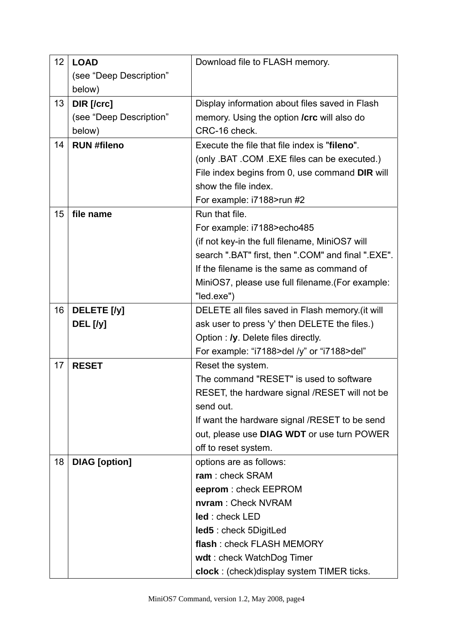| 12 | <b>LOAD</b>                       | Download file to FLASH memory.                     |  |
|----|-----------------------------------|----------------------------------------------------|--|
|    | (see "Deep Description"           |                                                    |  |
|    | below)                            |                                                    |  |
| 13 | DIR [/crc]                        | Display information about files saved in Flash     |  |
|    | (see "Deep Description"           | memory. Using the option <b>/crc</b> will also do  |  |
|    | below)                            | CRC-16 check.                                      |  |
| 14 | <b>RUN #fileno</b>                | Execute the file that file index is "fileno".      |  |
|    |                                   | (only .BAT .COM .EXE files can be executed.)       |  |
|    |                                   | File index begins from 0, use command DIR will     |  |
|    |                                   | show the file index.                               |  |
|    |                                   | For example: i7188>run #2                          |  |
| 15 | file name                         | Run that file.                                     |  |
|    |                                   | For example: i7188>echo485                         |  |
|    |                                   | (if not key-in the full filename, MiniOS7 will     |  |
|    |                                   | search ".BAT" first, then ".COM" and final ".EXE". |  |
|    |                                   | If the filename is the same as command of          |  |
|    |                                   | MiniOS7, please use full filename. (For example:   |  |
|    |                                   | "led.exe")                                         |  |
| 16 | DELETE <sub>[/y]</sub>            | DELETE all files saved in Flash memory.(it will    |  |
|    | DEL [/y]                          | ask user to press 'y' then DELETE the files.)      |  |
|    |                                   | Option : /y. Delete files directly.                |  |
|    |                                   | For example: "i7188>del /y" or "i7188>del"         |  |
| 17 | <b>RESET</b><br>Reset the system. |                                                    |  |
|    |                                   | The command "RESET" is used to software            |  |
|    |                                   | RESET, the hardware signal /RESET will not be      |  |
|    |                                   | send out.                                          |  |
|    |                                   | If want the hardware signal /RESET to be send      |  |
|    |                                   | out, please use DIAG WDT or use turn POWER         |  |
|    |                                   | off to reset system.                               |  |
| 18 | <b>DIAG</b> [option]              | options are as follows:                            |  |
|    |                                   | ram: check SRAM                                    |  |
|    |                                   | eeprom: check EEPROM                               |  |
|    |                                   | nvram: Check NVRAM                                 |  |
|    |                                   | led: check LED                                     |  |
|    |                                   | <b>led5</b> : check 5DigitLed                      |  |
|    |                                   | flash: check FLASH MEMORY                          |  |
|    |                                   | wdt: check WatchDog Timer                          |  |
|    |                                   | clock : (check) display system TIMER ticks.        |  |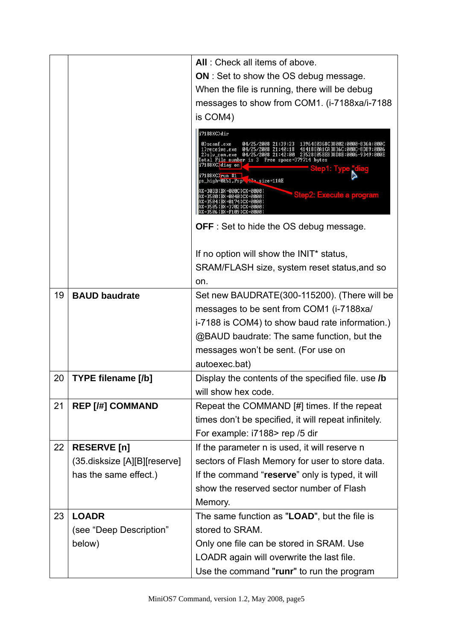|    |                              | All: Check all items of above.                                                                                                                                                                                                                                                                                                                                                                                        |
|----|------------------------------|-----------------------------------------------------------------------------------------------------------------------------------------------------------------------------------------------------------------------------------------------------------------------------------------------------------------------------------------------------------------------------------------------------------------------|
|    |                              | <b>ON</b> : Set to show the OS debug message.                                                                                                                                                                                                                                                                                                                                                                         |
|    |                              | When the file is running, there will be debug                                                                                                                                                                                                                                                                                                                                                                         |
|    |                              | messages to show from COM1. (i-7188xa/i-7188                                                                                                                                                                                                                                                                                                                                                                          |
|    |                              | is COM4)                                                                                                                                                                                                                                                                                                                                                                                                              |
|    |                              | i7188XC>dir                                                                                                                                                                                                                                                                                                                                                                                                           |
|    |                              | 0)scanf.exe<br>04/25/2008 21:39:23<br>1396410368CJ8002:0000-836A:000C<br>41418 [0A1CA 1836C:000C-8D89:0006<br>1)receive.exe<br>04/25/2008 21:40:18<br>Total File number is 3 Free space=379714 bytes<br>i7188XC}diag on<br>i7188XC)run #1<br>ps_high=0E51,Psp- -2-size=11AE<br>AX =303B   BX =000C   CX =0000  <br><b>Step2: Execute a program</b><br>AX =3500 I BX =0040 I CX =0000 I<br>AX=3504 IBX=0174 ICX=0000 I |
|    |                              | <b>OFF</b> : Set to hide the OS debug message.                                                                                                                                                                                                                                                                                                                                                                        |
|    |                              | If no option will show the INIT* status,                                                                                                                                                                                                                                                                                                                                                                              |
|    |                              | SRAM/FLASH size, system reset status, and so                                                                                                                                                                                                                                                                                                                                                                          |
|    |                              | on.                                                                                                                                                                                                                                                                                                                                                                                                                   |
| 19 | <b>BAUD baudrate</b>         | Set new BAUDRATE(300-115200). (There will be                                                                                                                                                                                                                                                                                                                                                                          |
|    |                              | messages to be sent from COM1 (i-7188xa/                                                                                                                                                                                                                                                                                                                                                                              |
|    |                              | i-7188 is COM4) to show baud rate information.)                                                                                                                                                                                                                                                                                                                                                                       |
|    |                              | @BAUD baudrate: The same function, but the                                                                                                                                                                                                                                                                                                                                                                            |
|    |                              | messages won't be sent. (For use on                                                                                                                                                                                                                                                                                                                                                                                   |
|    |                              | autoexec.bat)                                                                                                                                                                                                                                                                                                                                                                                                         |
| 20 | <b>TYPE filename [/b]</b>    | Display the contents of the specified file. use <b>/b</b>                                                                                                                                                                                                                                                                                                                                                             |
|    |                              | will show hex code                                                                                                                                                                                                                                                                                                                                                                                                    |
| 21 | <b>REP [/#] COMMAND</b>      | Repeat the COMMAND [#] times. If the repeat                                                                                                                                                                                                                                                                                                                                                                           |
|    |                              | times don't be specified, it will repeat infinitely.                                                                                                                                                                                                                                                                                                                                                                  |
|    |                              | For example: i7188> rep /5 dir                                                                                                                                                                                                                                                                                                                                                                                        |
| 22 | <b>RESERVE</b> [n]           | If the parameter n is used, it will reserve n                                                                                                                                                                                                                                                                                                                                                                         |
|    | (35 disksize [A][B][reserve] | sectors of Flash Memory for user to store data.                                                                                                                                                                                                                                                                                                                                                                       |
|    | has the same effect.)        | If the command "reserve" only is typed, it will                                                                                                                                                                                                                                                                                                                                                                       |
|    |                              | show the reserved sector number of Flash                                                                                                                                                                                                                                                                                                                                                                              |
|    |                              | Memory.                                                                                                                                                                                                                                                                                                                                                                                                               |
| 23 | <b>LOADR</b>                 | The same function as "LOAD", but the file is                                                                                                                                                                                                                                                                                                                                                                          |
|    | (see "Deep Description"      | stored to SRAM.                                                                                                                                                                                                                                                                                                                                                                                                       |
|    | below)                       | Only one file can be stored in SRAM. Use                                                                                                                                                                                                                                                                                                                                                                              |
|    |                              | LOADR again will overwrite the last file.                                                                                                                                                                                                                                                                                                                                                                             |
|    |                              | Use the command "runr" to run the program                                                                                                                                                                                                                                                                                                                                                                             |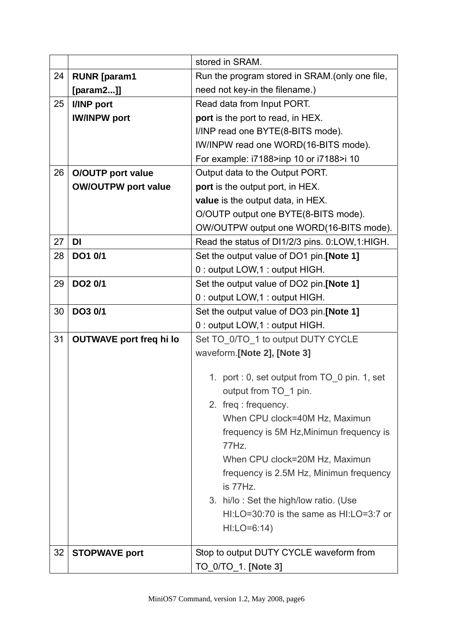|    |                                | stored in SRAM.                                       |  |
|----|--------------------------------|-------------------------------------------------------|--|
| 24 | <b>RUNR</b> [param1            | Run the program stored in SRAM.(only one file,        |  |
|    | [param2]                       | need not key-in the filename.)                        |  |
| 25 | I/INP port                     | Read data from Input PORT.                            |  |
|    | <b>IW/INPW port</b>            | port is the port to read, in HEX.                     |  |
|    |                                | I/INP read one BYTE(8-BITS mode).                     |  |
|    |                                | IW/INPW read one WORD(16-BITS mode).                  |  |
|    |                                | For example: i7188>inp 10 or i7188>i 10               |  |
| 26 | <b>O/OUTP</b> port value       | Output data to the Output PORT.                       |  |
|    | <b>OW/OUTPW port value</b>     | port is the output port, in HEX.                      |  |
|    |                                | value is the output data, in HEX.                     |  |
|    |                                | O/OUTP output one BYTE(8-BITS mode).                  |  |
|    |                                | OW/OUTPW output one WORD(16-BITS mode).               |  |
| 27 | <b>DI</b>                      | Read the status of DI1/2/3 pins. 0:LOW, 1:HIGH.       |  |
| 28 | DO1 0/1                        | Set the output value of DO1 pin.[Note 1]              |  |
|    |                                | 0 : output LOW, 1 : output HIGH.                      |  |
| 29 | DO <sub>2</sub> 0/1            | Set the output value of DO2 pin.[Note 1]              |  |
|    |                                | 0 : output LOW, 1 : output HIGH.                      |  |
| 30 | DO3 0/1                        | Set the output value of DO3 pin.[Note 1]              |  |
|    |                                | 0 : output LOW, 1 : output HIGH.                      |  |
| 31 | <b>OUTWAVE port freq hi lo</b> | Set TO 0/TO 1 to output DUTY CYCLE                    |  |
|    |                                | waveform.[Note 2], [Note 3]                           |  |
|    |                                | 1. port : 0, set output from TO_0 pin. 1, set         |  |
|    |                                | output from TO 1 pin.                                 |  |
|    |                                |                                                       |  |
|    |                                | 2. freq: frequency.<br>When CPU clock=40M Hz, Maximun |  |
|    |                                | frequency is 5M Hz, Minimun frequency is              |  |
|    |                                | 77Hz.                                                 |  |
|    |                                | When CPU clock=20M Hz, Maximun                        |  |
|    |                                | frequency is 2.5M Hz, Minimun frequency<br>is 77Hz.   |  |
|    |                                |                                                       |  |
|    |                                | 3. hi/lo: Set the high/low ratio. (Use                |  |
|    |                                | $HI:LO=30:70$ is the same as $HI:LO=3:7$ or           |  |
|    |                                | $H I: LO = 6:14$                                      |  |
|    |                                |                                                       |  |
| 32 | <b>STOPWAVE port</b>           | Stop to output DUTY CYCLE waveform from               |  |
|    |                                | TO_0/TO_1. [Note 3]                                   |  |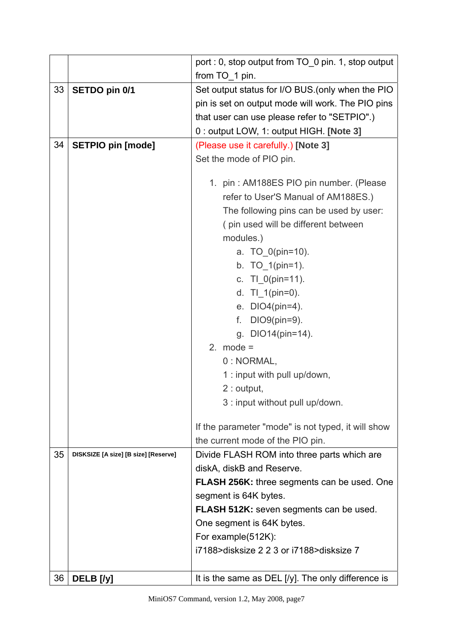|    |                                      | port : 0, stop output from TO_0 pin. 1, stop output  |  |
|----|--------------------------------------|------------------------------------------------------|--|
|    |                                      | from TO 1 pin.                                       |  |
| 33 | SETDO pin 0/1                        | Set output status for I/O BUS. (only when the PIO    |  |
|    |                                      | pin is set on output mode will work. The PIO pins    |  |
|    |                                      | that user can use please refer to "SETPIO".)         |  |
|    |                                      | 0 : output LOW, 1: output HIGH. [Note 3]             |  |
| 34 | <b>SETPIO pin [mode]</b>             | (Please use it carefully.) [Note 3]                  |  |
|    |                                      | Set the mode of PIO pin.                             |  |
|    |                                      |                                                      |  |
|    |                                      | 1. pin: AM188ES PIO pin number. (Please              |  |
|    |                                      | refer to User'S Manual of AM188ES.)                  |  |
|    |                                      | The following pins can be used by user:              |  |
|    |                                      | (pin used will be different between                  |  |
|    |                                      | modules.)                                            |  |
|    |                                      | a. TO 0(pin=10).                                     |  |
|    |                                      | b. $TO_1(pin=1)$ .                                   |  |
|    |                                      | c. TI_0(pin=11).                                     |  |
|    |                                      | d. $TI_1(pin=0)$ .                                   |  |
|    |                                      | e. DIO4(pin=4).                                      |  |
|    |                                      | DIO9(pin=9).<br>f.                                   |  |
|    |                                      | g. DIO14(pin=14).                                    |  |
|    |                                      | 2. mode $=$                                          |  |
|    |                                      | 0 : NORMAL,                                          |  |
|    |                                      | 1 : input with pull up/down,                         |  |
|    |                                      | $2:$ output,                                         |  |
|    |                                      | 3 : input without pull up/down.                      |  |
|    |                                      |                                                      |  |
|    |                                      | If the parameter "mode" is not typed, it will show   |  |
|    |                                      | the current mode of the PIO pin.                     |  |
| 35 | DISKSIZE [A size] [B size] [Reserve] | Divide FLASH ROM into three parts which are          |  |
|    |                                      | diskA, diskB and Reserve.                            |  |
|    |                                      | <b>FLASH 256K:</b> three segments can be used. One   |  |
|    |                                      | segment is 64K bytes.                                |  |
|    |                                      | FLASH 512K: seven segments can be used.              |  |
|    |                                      | One segment is 64K bytes.                            |  |
|    |                                      | For example(512K):                                   |  |
|    |                                      | i7188>disksize 2 2 3 or i7188>disksize 7             |  |
|    |                                      |                                                      |  |
| 36 | DELB [/y]                            | It is the same as DEL $[y]$ . The only difference is |  |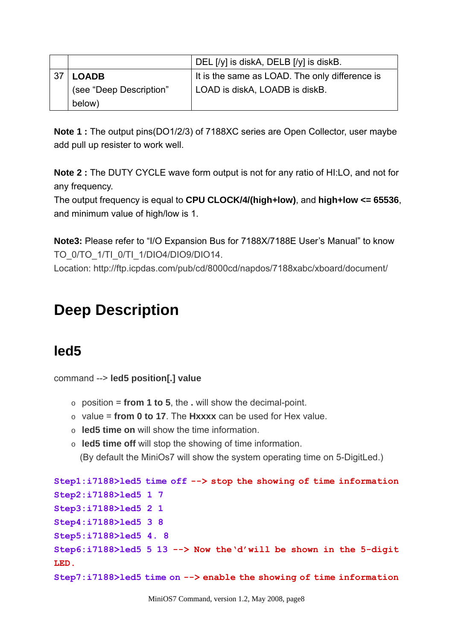|     |                         | DEL $[$ / $y$ ] is diskA, DELB $[$ / $y$ ] is diskB. |
|-----|-------------------------|------------------------------------------------------|
| -37 | <b>LOADB</b>            | It is the same as LOAD. The only difference is       |
|     | (see "Deep Description" | LOAD is diskA, LOADB is diskB.                       |
|     | below)                  |                                                      |

**Note 1 :** The output pins(DO1/2/3) of 7188XC series are Open Collector, user maybe add pull up resister to work well.

**Note 2 :** The DUTY CYCLE wave form output is not for any ratio of HI:LO, and not for any frequency.

The output frequency is equal to **CPU CLOCK/4/(high+low)**, and **high+low <= 65536**, and minimum value of high/low is 1.

**Note3:** Please refer to "I/O Expansion Bus for 7188X/7188E User's Manual" to know TO\_0/TO\_1/TI\_0/TI\_1/DIO4/DIO9/DIO14.

Location: http://ftp.icpdas.com/pub/cd/8000cd/napdos/7188xabc/xboard/document/

## **Deep Description**

## **led5**

command --> **led5 position[.] value**

- o position = **from 1 to 5**, the **.** will show the decimal-point.
- o value = **from 0 to 17**. The **Hxxxx** can be used for Hex value.
- o **led5 time on** will show the time information.
- o **led5 time off** will stop the showing of time information.

(By default the MiniOs7 will show the system operating time on 5-DigitLed.)

```
Step1:i7188>led5 time off --> stop the showing of time information
Step2:i7188>led5 1 7 
Step3:i7188>led5 2 1 
Step4:i7188>led5 3 8 
Step5:i7188>led5 4. 8 
Step6:i7188>led5 5 13 --> Now the'd'will be shown in the 5-digit 
LED.
Step7:i7188>led5 time on --> enable the showing of time information
```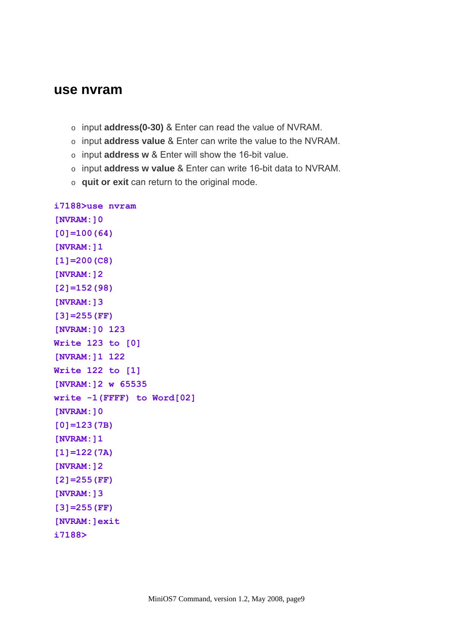### **use nvram**

- o input **address(0-30)** & Enter can read the value of NVRAM.
- o input **address value** & Enter can write the value to the NVRAM.
- o input **address w** & Enter will show the 16-bit value.
- o input **address w value** & Enter can write 16-bit data to NVRAM.
- o **quit or exit** can return to the original mode.

```
i7188>use nvram 
[NVRAM:]0 
[0]=100(64) 
[NVRAM:]1 
[1]=200(C8) 
[NVRAM:]2 
[2]=152(98) 
[NVRAM:]3 
[3]=255(FF) 
[NVRAM:]0 123 
Write 123 to [0] 
[NVRAM:]1 122 
Write 122 to [1] 
[NVRAM:]2 w 65535 
write -1(FFFF) to Word[02] 
[NVRAM:]0 
[0]=123(7B) 
[NVRAM:]1 
[1]=122(7A) 
[NVRAM:]2 
[2]=255(FF) 
[NVRAM:]3 
[3]=255(FF) 
[NVRAM:]exit 
i7188>
```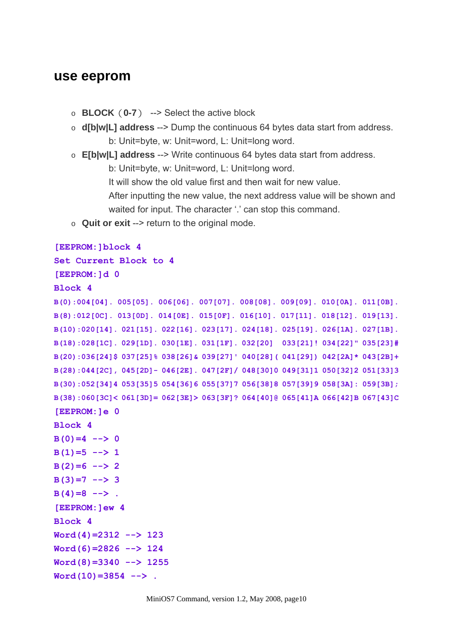### **use eeprom**

- o **BLOCK**(**0-7**) --> Select the active block
- o **d[b|w|L] address** --> Dump the continuous 64 bytes data start from address. b: Unit=byte, w: Unit=word, L: Unit=long word.
- o **E[b|w|L] address** --> Write continuous 64 bytes data start from address. b: Unit=byte, w: Unit=word, L: Unit=long word. It will show the old value first and then wait for new value. After inputting the new value, the next address value will be shown and waited for input. The character '.' can stop this command.
- o **Quit or exit** --> return to the original mode.

#### **[EEPROM:]block 4**

```
Set Current Block to 4
```
## **[EEPROM:]d 0**

```
Block 4
```

```
B(0):004[04]. 005[05]. 006[06]. 007[07]. 008[08]. 009[09]. 010[0A]. 011[0B]. 
B(8):012[0C]. 013[0D]. 014[0E]. 015[0F]. 016[10]. 017[11]. 018[12]. 019[13]. 
B(10):020[14]. 021[15]. 022[16]. 023[17]. 024[18]. 025[19]. 026[1A]. 027[1B]. 
B(18):028[1C]. 029[1D]. 030[1E]. 031[1F]. 032[20] 033[21]! 034[22]" 035[23]# 
B(20):036[24]$ 037[25]% 038[26]& 039[27]' 040[28]( 041[29]) 042[2A]* 043[2B]+ 
B(28):044[2C], 045[2D]- 046[2E]. 047[2F]/ 048[30]0 049[31]1 050[32]2 051[33]3 
B(30):052[34]4 053[35]5 054[36]6 055[37]7 056[38]8 057[39]9 058[3A]: 059[3B]; 
B(38):060[3C]< 061[3D]= 062[3E]> 063[3F]? 064[40]@ 065[41]A 066[42]B 067[43]C
```

```
[EEPROM:]e 0
```

```
Block 4 
B(0)=4 \leftarrow > 0
B(1)=5 --> 1
B(2)=6 --> 2
B(3)=7 --> 3 
B(4)=8 --> .
[EEPROM:]ew 4 
Block 4 
Word(4)=2312 --> 123 
Word(6)=2826 --> 124 
Word(8)=3340 --> 1255 
Word(10)=3854 --> .
```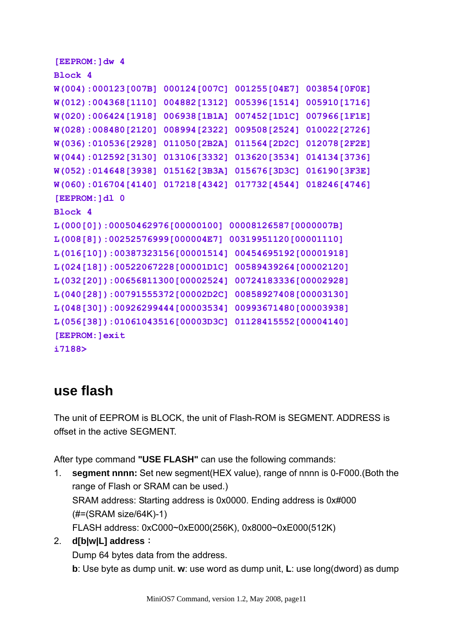```
[EEPROM:]dw 4 
Block 4 
W(004):000123[007B] 000124[007C] 001255[04E7] 003854[0F0E] 
W(012):004368[1110] 004882[1312] 005396[1514] 005910[1716] 
W(020):006424[1918] 006938[1B1A] 007452[1D1C] 007966[1F1E] 
W(028):008480[2120] 008994[2322] 009508[2524] 010022[2726] 
W(036):010536[2928] 011050[2B2A] 011564[2D2C] 012078[2F2E] 
W(044):012592[3130] 013106[3332] 013620[3534] 014134[3736] 
W(052):014648[3938] 015162[3B3A] 015676[3D3C] 016190[3F3E] 
W(060):016704[4140] 017218[4342] 017732[4544] 018246[4746] 
[EEPROM:]dl 0 
Block 4 
L(000[0]):00050462976[00000100] 00008126587[0000007B] 
L(008[8]):00252576999[000004E7] 00319951120[00001110] 
L(016[10]):00387323156[00001514] 00454695192[00001918] 
L(024[18]):00522067228[00001D1C] 00589439264[00002120] 
L(032[20]):00656811300[00002524] 00724183336[00002928] 
L(040[28]):00791555372[00002D2C] 00858927408[00003130] 
L(048[30]):00926299444[00003534] 00993671480[00003938] 
L(056[38]):01061043516[00003D3C] 01128415552[00004140] 
[EEPROM:]exit 
i7188>
```
## **use flash**

The unit of EEPROM is BLOCK, the unit of Flash-ROM is SEGMENT. ADDRESS is offset in the active SEGMENT.

After type command **"USE FLASH"** can use the following commands:

1. **segment nnnn:** Set new segment(HEX value), range of nnnn is 0-F000.(Both the range of Flash or SRAM can be used.) SRAM address: Starting address is 0x0000. Ending address is 0x#000 (#=(SRAM size/64K)-1) FLASH address: 0xC000~0xE000(256K), 0x8000~0xE000(512K)

## 2. **d[b|w|L] address**:

Dump 64 bytes data from the address. **b**: Use byte as dump unit. **w**: use word as dump unit, **L**: use long(dword) as dump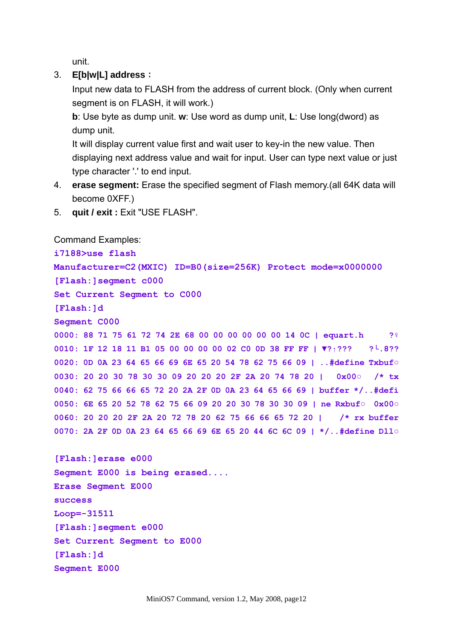unit.

### 3. **E[b|w|L] address**:

Input new data to FLASH from the address of current block. (Only when current segment is on FLASH, it will work.)

**b**: Use byte as dump unit. **w**: Use word as dump unit, **L**: Use long(dword) as dump unit.

It will display current value first and wait user to key-in the new value. Then displaying next address value and wait for input. User can type next value or just type character '.' to end input.

- 4. **erase segment:** Erase the specified segment of Flash memory.(all 64K data will become 0XFF.)
- 5. **quit / exit :** Exit "USE FLASH".

Command Examples: **i7188>use flash Manufacturer=C2(MXIC) ID=B0(size=256K) Protect mode=x0000000 [Flash:]segment c000 Set Current Segment to C000 [Flash:]d Segment C000 0000: 88 71 75 61 72 74 2E 68 00 00 00 00 00 00 14 0C | equart.h ?♀ 0010: 1F 12 18 11 B1 05 00 00 00 00 02 C0 0D 38 FF FF | ▼?↑??? ?└.8?? 0020: 0D 0A 23 64 65 66 69 6E 65 20 54 78 62 75 66 09 | ..#define Txbuf○ 0030: 20 20 30 78 30 30 09 20 20 20 2F 2A 20 74 78 20 | 0x00○ /\* tx 0040: 62 75 66 66 65 72 20 2A 2F 0D 0A 23 64 65 66 69 | buffer \*/..#defi 0050: 6E 65 20 52 78 62 75 66 09 20 20 30 78 30 30 09 | ne Rxbuf○ 0x00○ 0060: 20 20 20 2F 2A 20 72 78 20 62 75 66 66 65 72 20 | /\* rx buffer 0070: 2A 2F 0D 0A 23 64 65 66 69 6E 65 20 44 6C 6C 09 | \*/..#define Dll○ [Flash:]erase e000 Segment E000 is being erased....** 

**Erase Segment E000 success Loop=-31511 [Flash:]segment e000 Set Current Segment to E000 [Flash:]d Segment E000**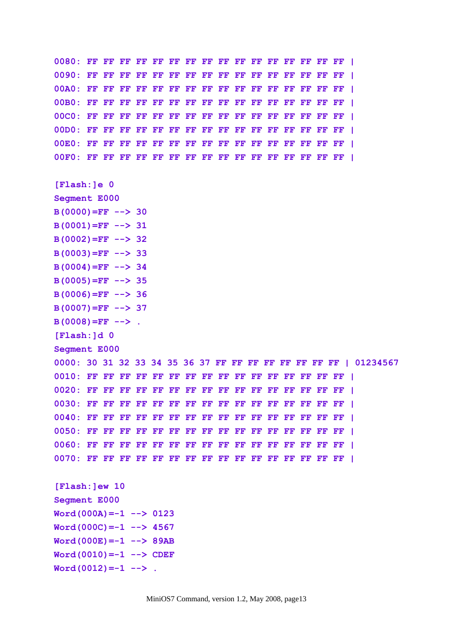**0080: FF FF FF FF FF FF FF FF FF FF FF FF FF FF FF FF | 0090: FF FF FF FF FF FF FF FF FF FF FF FF FF FF FF FF | 00A0: FF FF FF FF FF FF FF FF FF FF FF FF FF FF FF FF | 00B0: FF FF FF FF FF FF FF FF FF FF FF FF FF FF FF FF | 00C0: FF FF FF FF FF FF FF FF FF FF FF FF FF FF FF FF | 00D0: FF FF FF FF FF FF FF FF FF FF FF FF FF FF FF FF | 00E0: FF FF FF FF FF FF FF FF FF FF FF FF FF FF FF FF | 00F0: FF FF FF FF FF FF FF FF FF FF FF FF FF FF FF FF | [Flash:]e 0 Segment E000**   $B(0000) = FF$  --> 30 **B(0001)=FF --> 31 B(0002)=FF --> 32**   $B(0003) = FF$  --> 33  $B(0004) = FF$   $-$  > 34  $B(0005) = FF$  --> 35 **B(0006)=FF --> 36**   $B(0007) = FF$  --> 37  $B(0008) = FF$  --> . **[Flash:]d 0 Segment E000 0000: 30 31 32 33 34 35 36 37 FF FF FF FF FF FF FF FF | 01234567 0010: FF FF FF FF FF FF FF FF FF FF FF FF FF FF FF FF | 0020: FF FF FF FF FF FF FF FF FF FF FF FF FF FF FF FF | 0030: FF FF FF FF FF FF FF FF FF FF FF FF FF FF FF FF | 0040: FF FF FF FF FF FF FF FF FF FF FF FF FF FF FF FF | 0050: FF FF FF FF FF FF FF FF FF FF FF FF FF FF FF FF | 0060: FF FF FF FF FF FF FF FF FF FF FF FF FF FF FF FF | 0070: FF FF FF FF FF FF FF FF FF FF FF FF FF FF FF FF | [Flash:]ew 10 Segment E000**   $Word(000A) = -1$  --> 0123 **Word(000C)=-1 --> 4567 Word(000E)=-1 --> 89AB Word(0010)=-1 --> CDEF**   $Word(0012) = -1$  --> .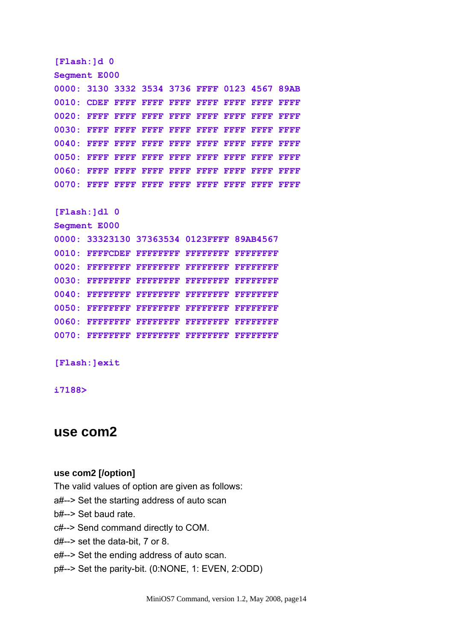**[Flash:]d 0 Segment E000 0000: 3130 3332 3534 3736 FFFF 0123 4567 89AB 0010: CDEF FFFF FFFF FFFF FFFF FFFF FFFF FFFF 0020: FFFF FFFF FFFF FFFF FFFF FFFF FFFF FFFF 0030: FFFF FFFF FFFF FFFF FFFF FFFF FFFF FFFF 0040: FFFF FFFF FFFF FFFF FFFF FFFF FFFF FFFF 0050: FFFF FFFF FFFF FFFF FFFF FFFF FFFF FFFF 0060: FFFF FFFF FFFF FFFF FFFF FFFF FFFF FFFF 0070: FFFF FFFF FFFF FFFF FFFF FFFF FFFF FFFF [Flash:]dl 0 Segment E000 0000: 33323130 37363534 0123FFFF 89AB4567 0010: FFFFCDEF FFFFFFFF FFFFFFFF FFFFFFFF 0020: FFFFFFFF FFFFFFFF FFFFFFFF FFFFFFFF 0030: FFFFFFFF FFFFFFFF FFFFFFFF FFFFFFFF 0040: FFFFFFFF FFFFFFFF FFFFFFFF FFFFFFFF 0050: FFFFFFFF FFFFFFFF FFFFFFFF FFFFFFFF 0060: FFFFFFFF FFFFFFFF FFFFFFFF FFFFFFFF 0070: FFFFFFFF FFFFFFFF FFFFFFFF FFFFFFFF** 

**[Flash:]exit** 

**i7188>** 

## **use com2**

#### **use com2 [/option]**

The valid values of option are given as follows:

a#--> Set the starting address of auto scan

b#--> Set baud rate.

c#--> Send command directly to COM.

d#--> set the data-bit, 7 or 8.

e#--> Set the ending address of auto scan.

p#--> Set the parity-bit. (0:NONE, 1: EVEN, 2:ODD)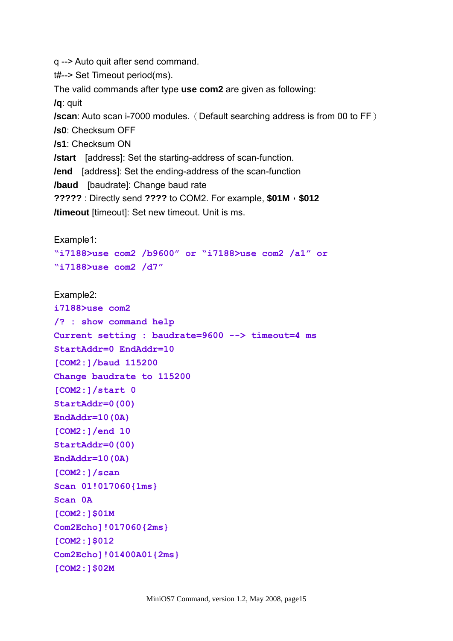q --> Auto quit after send command.

t#--> Set Timeout period(ms).

The valid commands after type **use com2** are given as following:

**/q**: quit

**/scan**: Auto scan i-7000 modules. (Default searching address is from 00 to FF)

**/s0**: Checksum OFF

**/s1**: Checksum ON

**/start** [address]: Set the starting-address of scan-function.

**/end** [address]: Set the ending-address of the scan-function

**/baud** [baudrate]: Change baud rate

**?????** : Directly send **????** to COM2. For example, **\$01M**,**\$012**

**/timeout** [timeout]: Set new timeout. Unit is ms.

Example1:

**"i7188>use com2 /b9600" or "i7188>use com2 /a1" or "i7188>use com2 /d7"** 

#### Example2:

```
i7188>use com2 
/? : show command help 
Current setting : baudrate=9600 --> timeout=4 ms 
StartAddr=0 EndAddr=10 
[COM2:]/baud 115200 
Change baudrate to 115200 
[COM2:]/start 0 
StartAddr=0(00) 
EndAddr=10(0A) 
[COM2:]/end 10 
StartAddr=0(00) 
EndAddr=10(0A) 
[COM2:]/scan 
Scan 01!017060{1ms} 
Scan 0A 
[COM2:]$01M 
Com2Echo]!017060{2ms} 
[COM2:]$012 
Com2Echo]!01400A01{2ms} 
[COM2:]$02M
```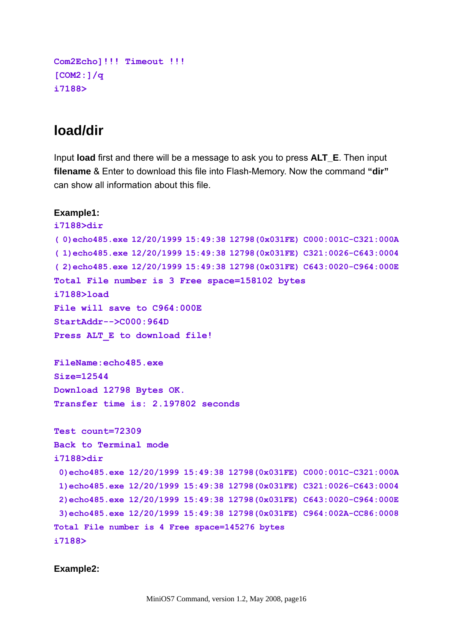```
Com2Echo]!!! Timeout !!! 
[COM2:]/q 
i7188>
```
## **load/dir**

Input **load** first and there will be a message to ask you to press **ALT\_E**. Then input **filename** & Enter to download this file into Flash-Memory. Now the command **"dir"** can show all information about this file.

```
Example1: 
i7188>dir 
( 0)echo485.exe 12/20/1999 15:49:38 12798(0x031FE) C000:001C-C321:000A 
( 1)echo485.exe 12/20/1999 15:49:38 12798(0x031FE) C321:0026-C643:0004 
( 2)echo485.exe 12/20/1999 15:49:38 12798(0x031FE) C643:0020-C964:000E 
Total File number is 3 Free space=158102 bytes 
i7188>load 
File will save to C964:000E 
StartAddr-->C000:964D 
Press ALT_E to download file! 
FileName:echo485.exe 
Size=12544 
Download 12798 Bytes OK. 
Transfer time is: 2.197802 seconds 
Test count=72309 
Back to Terminal mode 
i7188>dir 
  0)echo485.exe 12/20/1999 15:49:38 12798(0x031FE) C000:001C-C321:000A 
  1)echo485.exe 12/20/1999 15:49:38 12798(0x031FE) C321:0026-C643:0004 
  2)echo485.exe 12/20/1999 15:49:38 12798(0x031FE) C643:0020-C964:000E 
  3)echo485.exe 12/20/1999 15:49:38 12798(0x031FE) C964:002A-CC86:0008 
Total File number is 4 Free space=145276 bytes 
i7188>
```
#### **Example2:**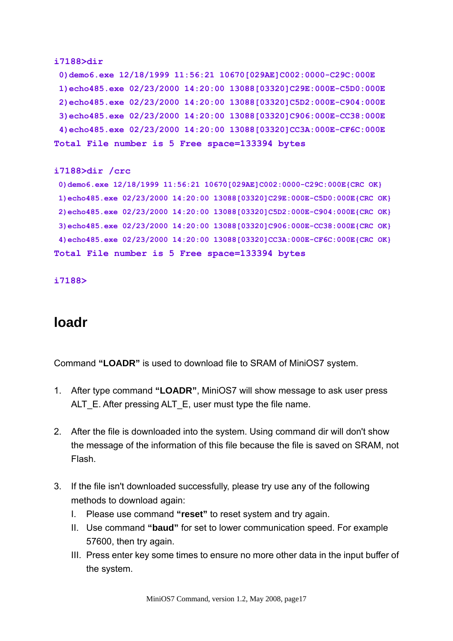```
i7188>dir 
  0)demo6.exe 12/18/1999 11:56:21 10670[029AE]C002:0000-C29C:000E 
  1)echo485.exe 02/23/2000 14:20:00 13088[03320]C29E:000E-C5D0:000E 
  2)echo485.exe 02/23/2000 14:20:00 13088[03320]C5D2:000E-C904:000E 
  3)echo485.exe 02/23/2000 14:20:00 13088[03320]C906:000E-CC38:000E 
  4)echo485.exe 02/23/2000 14:20:00 13088[03320]CC3A:000E-CF6C:000E 
Total File number is 5 Free space=133394 bytes
```

```
i7188>dir /crc
```

```
 0)demo6.exe 12/18/1999 11:56:21 10670[029AE]C002:0000-C29C:000E{CRC OK} 
  1)echo485.exe 02/23/2000 14:20:00 13088[03320]C29E:000E-C5D0:000E{CRC OK} 
 2)echo485.exe 02/23/2000 14:20:00 13088[03320]C5D2:000E-C904:000E{CRC OK} 
  3)echo485.exe 02/23/2000 14:20:00 13088[03320]C906:000E-CC38:000E{CRC OK} 
  4)echo485.exe 02/23/2000 14:20:00 13088[03320]CC3A:000E-CF6C:000E{CRC OK} 
Total File number is 5 Free space=133394 bytes
```

```
i7188>
```
## **loadr**

Command **"LOADR"** is used to download file to SRAM of MiniOS7 system.

- 1. After type command **"LOADR"**, MiniOS7 will show message to ask user press ALT\_E. After pressing ALT\_E, user must type the file name.
- 2. After the file is downloaded into the system. Using command dir will don't show the message of the information of this file because the file is saved on SRAM, not Flash.
- 3. If the file isn't downloaded successfully, please try use any of the following methods to download again:
	- I. Please use command **"reset"** to reset system and try again.
	- II. Use command **"baud"** for set to lower communication speed. For example 57600, then try again.
	- III. Press enter key some times to ensure no more other data in the input buffer of the system.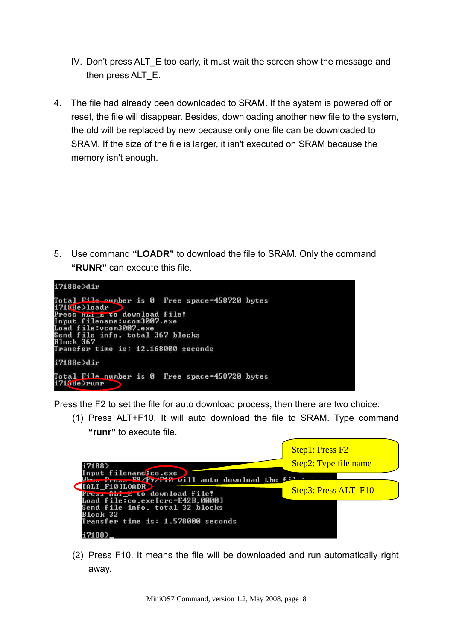- IV. Don't press ALT E too early, it must wait the screen show the message and then press ALT\_E.
- 4. The file had already been downloaded to SRAM. If the system is powered off or reset, the file will disappear. Besides, downloading another new file to the system, the old will be replaced by new because only one file can be downloaded to SRAM. If the size of the file is larger, it isn't executed on SRAM because the memory isn't enough.

5. Use command **"LOADR"** to download the file to SRAM. Only the command **"RUNR"** can execute this file.



Press the F2 to set the file for auto download process, then there are two choice:

(1) Press ALT+F10. It will auto download the file to SRAM. Type command **"runr"** to execute file.

|                                                                                           | <b>Step1: Press F2</b> |
|-------------------------------------------------------------------------------------------|------------------------|
| i7188>                                                                                    | Step2: Type file name  |
| Input filenametco.exe )<br>When Press PR/P7/F19 will auto download the f:1-               |                        |
| <b>TALT F10 LOADR</b><br>Press nurge to download file!<br>Load file:co.exe[crc=E42B,0000] | Step3: Press ALT_F10   |
| Send file info. total 32 blocks<br>Block 32                                               |                        |
| Transfer time is: 1.578000 seconds                                                        |                        |
|                                                                                           |                        |

(2) Press F10. It means the file will be downloaded and run automatically right away.